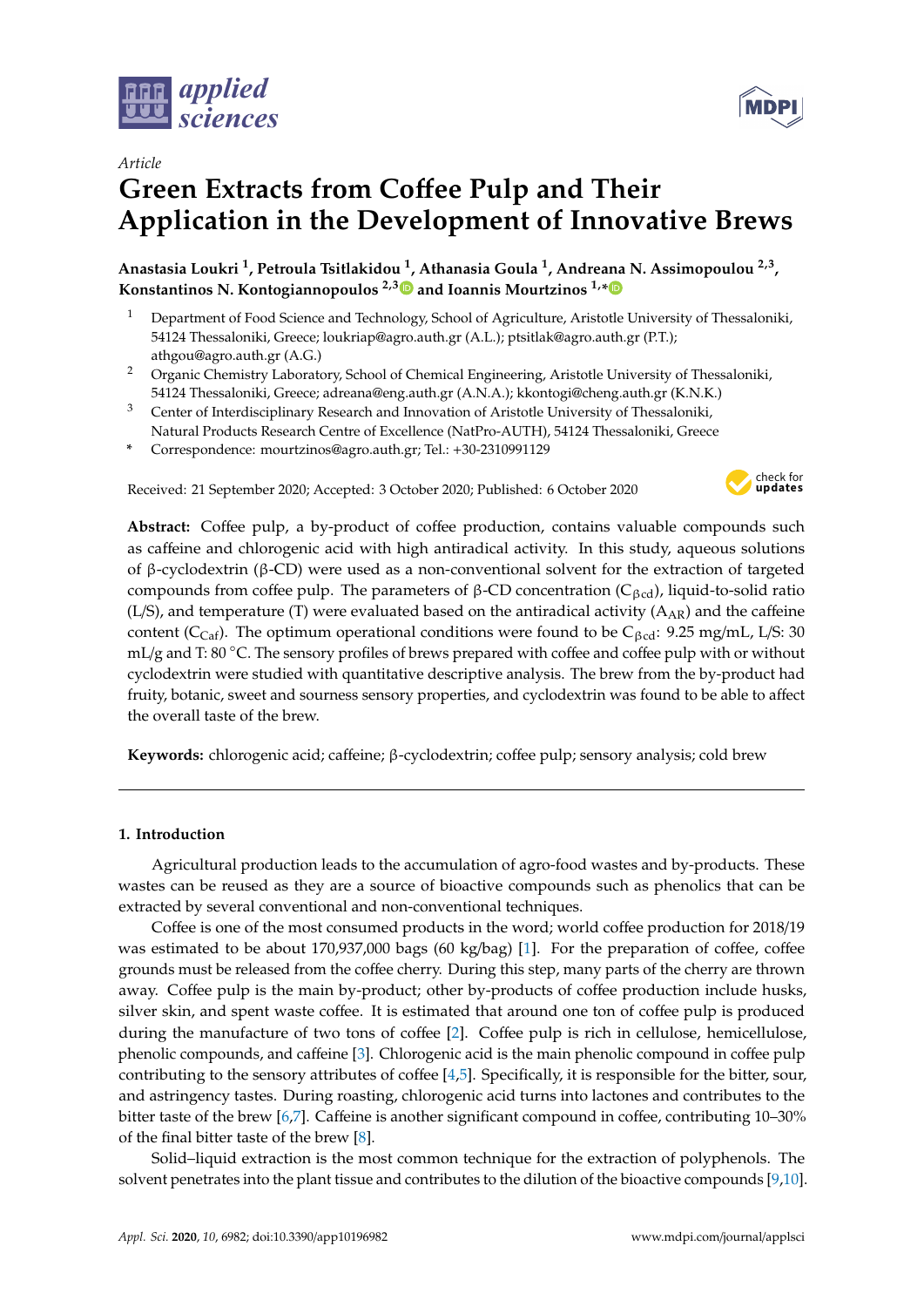



# **Green Extracts from Co**ff**ee Pulp and Their Application in the Development of Innovative Brews**

**Anastasia Loukri <sup>1</sup> , Petroula Tsitlakidou <sup>1</sup> , Athanasia Goula <sup>1</sup> , Andreana N. Assimopoulou 2,3 , Konstantinos N. Kontogiannopoulos 2,[3](https://orcid.org/0000-0001-8728-0233) and Ioannis Mourtzinos 1,[\\*](https://orcid.org/0000-0002-5688-7136)**

- <sup>1</sup> Department of Food Science and Technology, School of Agriculture, Aristotle University of Thessaloniki, 54124 Thessaloniki, Greece; loukriap@agro.auth.gr (A.L.); ptsitlak@agro.auth.gr (P.T.); athgou@agro.auth.gr (A.G.)
- <sup>2</sup> Organic Chemistry Laboratory, School of Chemical Engineering, Aristotle University of Thessaloniki, 54124 Thessaloniki, Greece; adreana@eng.auth.gr (A.N.A.); kkontogi@cheng.auth.gr (K.N.K.)
- <sup>3</sup> Center of Interdisciplinary Research and Innovation of Aristotle University of Thessaloniki, Natural Products Research Centre of Excellence (NatPro-AUTH), 54124 Thessaloniki, Greece
- **\*** Correspondence: mourtzinos@agro.auth.gr; Tel.: +30-2310991129

Received: 21 September 2020; Accepted: 3 October 2020; Published: 6 October 2020



**Abstract:** Coffee pulp, a by-product of coffee production, contains valuable compounds such as caffeine and chlorogenic acid with high antiradical activity. In this study, aqueous solutions of β-cyclodextrin (β-CD) were used as a non-conventional solvent for the extraction of targeted compounds from coffee pulp. The parameters of β-CD concentration (C<sub>βcd</sub>), liquid-to-solid ratio  $(L/S)$ , and temperature (T) were evaluated based on the antiradical activity ( $A_{AR}$ ) and the caffeine content (C<sub>Caf</sub>). The optimum operational conditions were found to be C<sub>βcd</sub>: 9.25 mg/mL, L/S: 30 mL/g and T: 80 ℃. The sensory profiles of brews prepared with coffee and coffee pulp with or without cyclodextrin were studied with quantitative descriptive analysis. The brew from the by-product had fruity, botanic, sweet and sourness sensory properties, and cyclodextrin was found to be able to affect the overall taste of the brew.

**Keywords:** chlorogenic acid; caffeine; β-cyclodextrin; coffee pulp; sensory analysis; cold brew

# **1. Introduction**

Agricultural production leads to the accumulation of agro-food wastes and by-products. These wastes can be reused as they are a source of bioactive compounds such as phenolics that can be extracted by several conventional and non-conventional techniques.

Coffee is one of the most consumed products in the word; world coffee production for 2018/19 was estimated to be about 170,937,000 bags (60 kg/bag) [\[1\]](#page-10-0). For the preparation of coffee, coffee grounds must be released from the coffee cherry. During this step, many parts of the cherry are thrown away. Coffee pulp is the main by-product; other by-products of coffee production include husks, silver skin, and spent waste coffee. It is estimated that around one ton of coffee pulp is produced during the manufacture of two tons of coffee [\[2\]](#page-10-1). Coffee pulp is rich in cellulose, hemicellulose, phenolic compounds, and caffeine [\[3\]](#page-10-2). Chlorogenic acid is the main phenolic compound in coffee pulp contributing to the sensory attributes of coffee [\[4,](#page-10-3)[5\]](#page-10-4). Specifically, it is responsible for the bitter, sour, and astringency tastes. During roasting, chlorogenic acid turns into lactones and contributes to the bitter taste of the brew [\[6](#page-10-5)[,7\]](#page-10-6). Caffeine is another significant compound in coffee, contributing 10–30% of the final bitter taste of the brew [\[8\]](#page-10-7).

Solid–liquid extraction is the most common technique for the extraction of polyphenols. The solvent penetrates into the plant tissue and contributes to the dilution of the bioactive compounds [\[9](#page-10-8)[,10\]](#page-10-9).

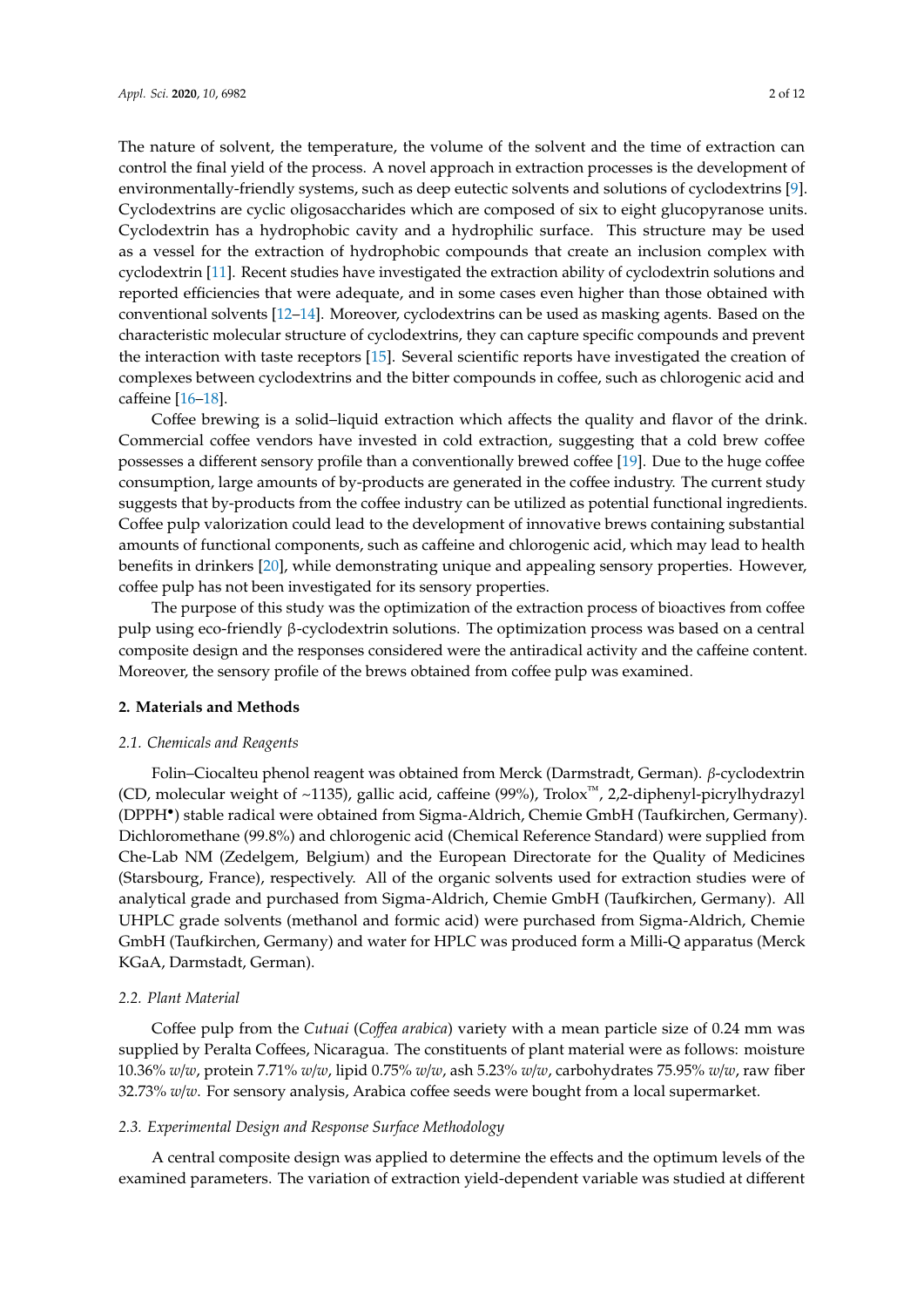The nature of solvent, the temperature, the volume of the solvent and the time of extraction can control the final yield of the process. A novel approach in extraction processes is the development of environmentally-friendly systems, such as deep eutectic solvents and solutions of cyclodextrins [\[9\]](#page-10-8). Cyclodextrins are cyclic oligosaccharides which are composed of six to eight glucopyranose units. Cyclodextrin has a hydrophobic cavity and a hydrophilic surface. This structure may be used as a vessel for the extraction of hydrophobic compounds that create an inclusion complex with cyclodextrin [\[11\]](#page-10-10). Recent studies have investigated the extraction ability of cyclodextrin solutions and reported efficiencies that were adequate, and in some cases even higher than those obtained with conventional solvents [\[12](#page-10-11)[–14\]](#page-10-12). Moreover, cyclodextrins can be used as masking agents. Based on the characteristic molecular structure of cyclodextrins, they can capture specific compounds and prevent the interaction with taste receptors [\[15\]](#page-10-13). Several scientific reports have investigated the creation of complexes between cyclodextrins and the bitter compounds in coffee, such as chlorogenic acid and caffeine [\[16–](#page-10-14)[18\]](#page-10-15).

Coffee brewing is a solid–liquid extraction which affects the quality and flavor of the drink. Commercial coffee vendors have invested in cold extraction, suggesting that a cold brew coffee possesses a different sensory profile than a conventionally brewed coffee [\[19\]](#page-10-16). Due to the huge coffee consumption, large amounts of by-products are generated in the coffee industry. The current study suggests that by-products from the coffee industry can be utilized as potential functional ingredients. Coffee pulp valorization could lead to the development of innovative brews containing substantial amounts of functional components, such as caffeine and chlorogenic acid, which may lead to health benefits in drinkers [\[20\]](#page-10-17), while demonstrating unique and appealing sensory properties. However, coffee pulp has not been investigated for its sensory properties.

The purpose of this study was the optimization of the extraction process of bioactives from coffee pulp using eco-friendly β-cyclodextrin solutions. The optimization process was based on a central composite design and the responses considered were the antiradical activity and the caffeine content. Moreover, the sensory profile of the brews obtained from coffee pulp was examined.

## **2. Materials and Methods**

#### *2.1. Chemicals and Reagents*

Folin–Ciocalteu phenol reagent was obtained from Merck (Darmstradt, German). β-cyclodextrin (CD, molecular weight of ~1135), gallic acid, caffeine (99%), Trolox™, 2,2-diphenyl-picrylhydrazyl (DPPH• ) stable radical were obtained from Sigma-Aldrich, Chemie GmbH (Taufkirchen, Germany). Dichloromethane (99.8%) and chlorogenic acid (Chemical Reference Standard) were supplied from Che-Lab NM (Zedelgem, Belgium) and the European Directorate for the Quality of Medicines (Starsbourg, France), respectively. All of the organic solvents used for extraction studies were of analytical grade and purchased from Sigma-Aldrich, Chemie GmbH (Taufkirchen, Germany). All UHPLC grade solvents (methanol and formic acid) were purchased from Sigma-Aldrich, Chemie GmbH (Taufkirchen, Germany) and water for HPLC was produced form a Milli-Q apparatus (Merck KGaA, Darmstadt, German).

#### *2.2. Plant Material*

Coffee pulp from the *Cutuai* (*Co*ff*ea arabica*) variety with a mean particle size of 0.24 mm was supplied by Peralta Coffees, Nicaragua. The constituents of plant material were as follows: moisture 10.36% *w*/*w*, protein 7.71% *w*/*w*, lipid 0.75% *w*/*w*, ash 5.23% *w*/*w*, carbohydrates 75.95% *w*/*w*, raw fiber 32.73% *w*/*w*. For sensory analysis, Arabica coffee seeds were bought from a local supermarket.

## *2.3. Experimental Design and Response Surface Methodology*

A central composite design was applied to determine the effects and the optimum levels of the examined parameters. The variation of extraction yield-dependent variable was studied at different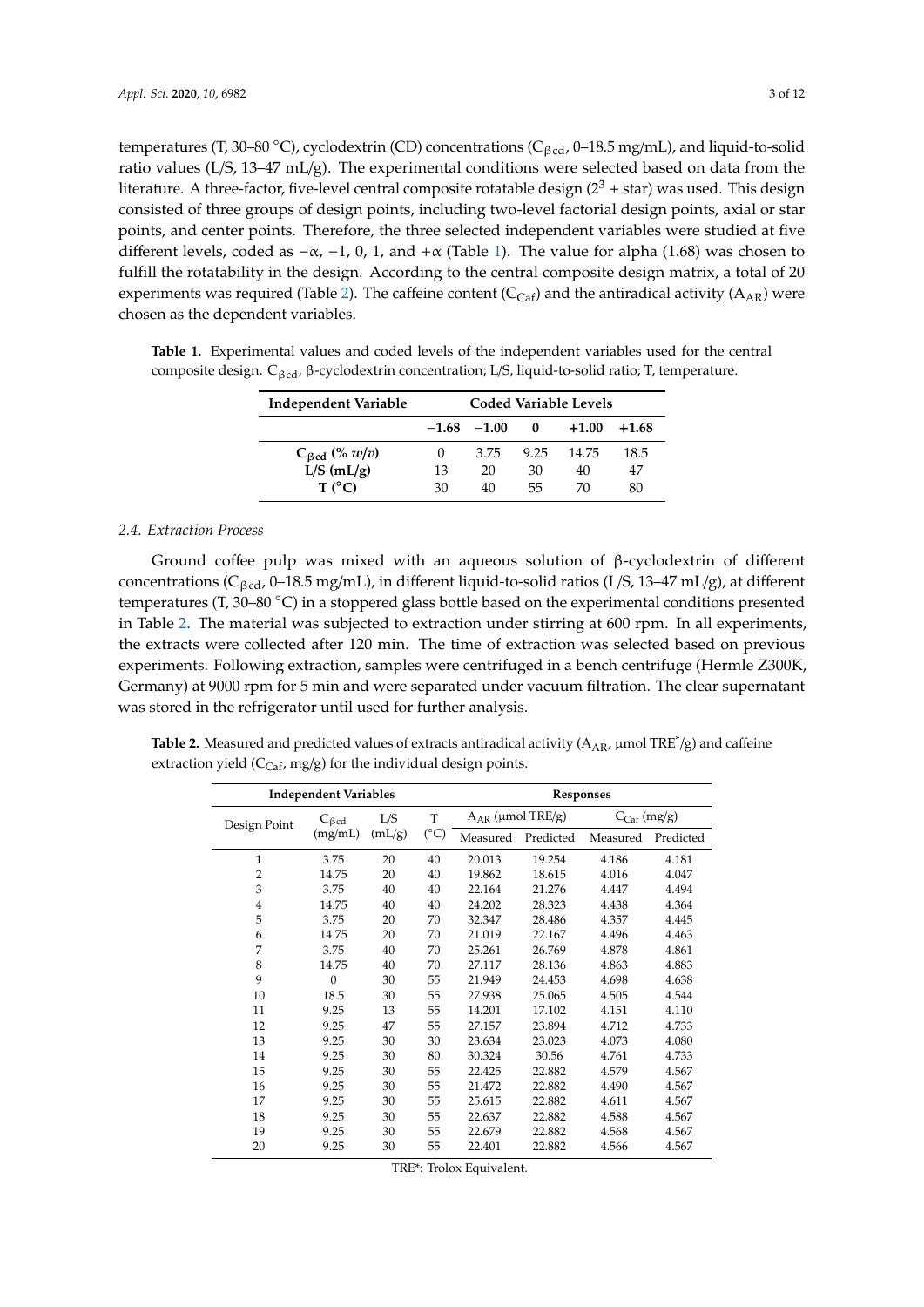temperatures (T, 30–80 °C), cyclodextrin (CD) concentrations ( $C_{\beta cd}$ , 0–18.5 mg/mL), and liquid-to-solid ratio values ( $L/S$ ,  $13-47$  m $L/g$ ). The experimental conditions were selected based on data from the literature. A three-factor, five-level central composite rotatable design  $(2^3 + star)$  was used. This design consisted of three groups of design points, including two-level factorial design points, axial or star points, and center points. Therefore, the three selected independent variables were studied at five different levels, coded as  $-\alpha$ ,  $-1$ , 0, 1, and  $+\alpha$  (Table [1\)](#page-2-0). The value for alpha (1.68) was chosen to fulfill the rotatability in the design. According to the central composite design matrix, a total of 20 experiments was required (Table [2\)](#page-2-1). The caffeine content ( $C_{\text{Caf}}$ ) and the antiradical activity ( $A_{AR}$ ) were chosen as the dependent variables.

| <b>Independent Variable</b> | <b>Coded Variable Levels</b> |                 |      |         |         |  |
|-----------------------------|------------------------------|-----------------|------|---------|---------|--|
|                             |                              | $-1.68$ $-1.00$ | 0    | $+1.00$ | $+1.68$ |  |
| $C_{\beta cd}$ (% $w/v$ )   |                              | 3.75            | 9.25 | 14.75   | 18.5    |  |
| $L/S$ (m $L/g$ )            | 13                           | 20              | 30   | 40      | 47      |  |
| $T(^{\circ}C)$              | 30                           | 40              | 55   | 70      | 80      |  |

<span id="page-2-0"></span>**Table 1.** Experimental values and coded levels of the independent variables used for the central composite design. C<sub>βcd</sub>, β-cyclodextrin concentration; L/S, liquid-to-solid ratio; T, temperature.

# *2.4. Extraction Process*

 $\overline{a}$ 

Ground coffee pulp was mixed with an aqueous solution of β-cyclodextrin of different concentrations ( $C_{\beta cd}$ , 0–18.5 mg/mL), in different liquid-to-solid ratios (L/S, 13–47 mL/g), at different temperatures (T, 30–80 ◦C) in a stoppered glass bottle based on the experimental conditions presented in Table [2.](#page-2-1) The material was subjected to extraction under stirring at 600 rpm. In all experiments, the extracts were collected after 120 min. The time of extraction was selected based on previous experiments. Following extraction, samples were centrifuged in a bench centrifuge (Hermle Z300K, Germany) at 9000 rpm for 5 min and were separated under vacuum filtration. The clear supernatant was stored in the refrigerator until used for further analysis.

<span id="page-2-1"></span>**Table 2.** Measured and predicted values of extracts antiradical activity  $(A_{AR}, \mu mol \, TRE^*/g)$  and caffeine extraction yield ( $C_{\text{Caf}}$ , mg/g) for the individual design points.

| <b>Independent Variables</b> |                |               |                   | Responses             |           |                         |           |
|------------------------------|----------------|---------------|-------------------|-----------------------|-----------|-------------------------|-----------|
| Design Point                 | $C_{\beta cd}$ | L/S<br>(mL/g) | T<br>$(^\circ C)$ | $A_{AR}$ (µmol TRE/g) |           | $C_{\text{Caf}}$ (mg/g) |           |
|                              | (mg/mL)        |               |                   | Measured              | Predicted | Measured                | Predicted |
| $\mathbf{1}$                 | 3.75           | 20            | 40                | 20.013                | 19.254    | 4.186                   | 4.181     |
| $\overline{2}$               | 14.75          | 20            | 40                | 19.862                | 18.615    | 4.016                   | 4.047     |
| 3                            | 3.75           | 40            | 40                | 22.164                | 21.276    | 4.447                   | 4.494     |
| $\overline{4}$               | 14.75          | 40            | 40                | 24.202                | 28.323    | 4.438                   | 4.364     |
| 5                            | 3.75           | 20            | 70                | 32.347                | 28.486    | 4.357                   | 4.445     |
| 6                            | 14.75          | 20            | 70                | 21.019                | 22.167    | 4.496                   | 4.463     |
| 7                            | 3.75           | 40            | 70                | 25.261                | 26.769    | 4.878                   | 4.861     |
| 8                            | 14.75          | 40            | 70                | 27.117                | 28.136    | 4.863                   | 4.883     |
| 9                            | $\mathbf{0}$   | 30            | 55                | 21.949                | 24.453    | 4.698                   | 4.638     |
| 10                           | 18.5           | 30            | 55                | 27.938                | 25.065    | 4.505                   | 4.544     |
| 11                           | 9.25           | 13            | 55                | 14.201                | 17.102    | 4.151                   | 4.110     |
| 12                           | 9.25           | 47            | 55                | 27.157                | 23.894    | 4.712                   | 4.733     |
| 13                           | 9.25           | 30            | 30                | 23.634                | 23.023    | 4.073                   | 4.080     |
| 14                           | 9.25           | 30            | 80                | 30.324                | 30.56     | 4.761                   | 4.733     |
| 15                           | 9.25           | 30            | 55                | 22.425                | 22.882    | 4.579                   | 4.567     |
| 16                           | 9.25           | 30            | 55                | 21.472                | 22.882    | 4.490                   | 4.567     |
| 17                           | 9.25           | 30            | 55                | 25.615                | 22.882    | 4.611                   | 4.567     |
| 18                           | 9.25           | 30            | 55                | 22.637                | 22.882    | 4.588                   | 4.567     |
| 19                           | 9.25           | 30            | 55                | 22.679                | 22.882    | 4.568                   | 4.567     |
| 20                           | 9.25           | 30            | 55                | 22.401                | 22.882    | 4.566                   | 4.567     |

TRE\*: Trolox Equivalent.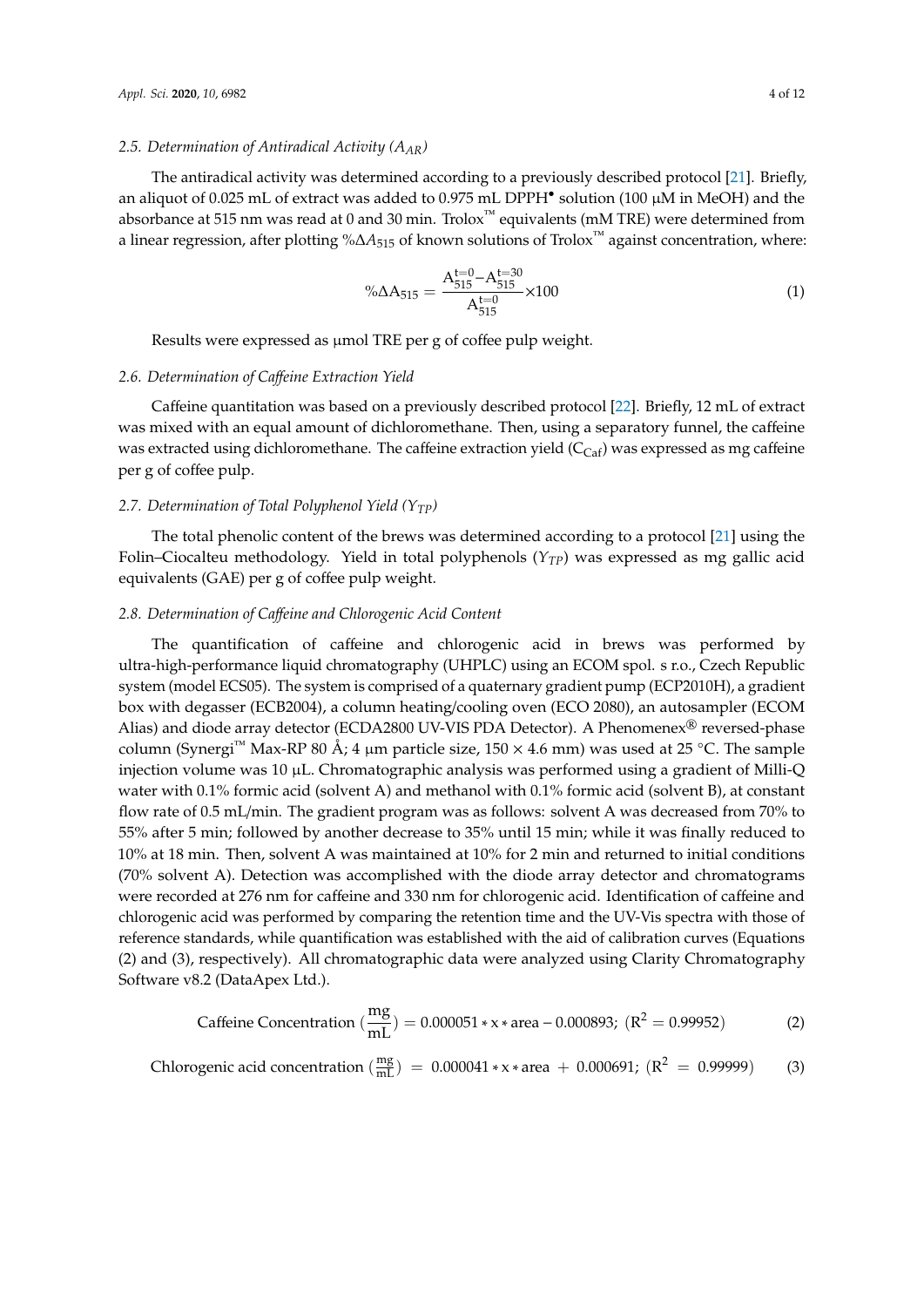### *2.5. Determination of Antiradical Activity (AAR)*

The antiradical activity was determined according to a previously described protocol [\[21\]](#page-11-0). Briefly, an aliquot of 0.025 mL of extract was added to 0.975 mL DPPH<sup>•</sup> solution (100  $\mu$ M in MeOH) and the absorbance at 515 nm was read at 0 and 30 min. Trolox<sup>™</sup> equivalents (mM TRE) were determined from a linear regression, after plotting %∆*A*<sup>515</sup> of known solutions of Trolox™ against concentration, where:

$$
\% \Delta A_{515} = \frac{A_{515}^{t=0} - A_{515}^{t=30}}{A_{515}^{t=0}} \times 100
$$
 (1)

Results were expressed as µmol TRE per g of coffee pulp weight.

#### *2.6. Determination of Ca*ff*eine Extraction Yield*

Caffeine quantitation was based on a previously described protocol [\[22\]](#page-11-1). Briefly, 12 mL of extract was mixed with an equal amount of dichloromethane. Then, using a separatory funnel, the caffeine was extracted using dichloromethane. The caffeine extraction yield  $(C_{Caf})$  was expressed as mg caffeine per g of coffee pulp.

### *2.7. Determination of Total Polyphenol Yield (YTP)*

The total phenolic content of the brews was determined according to a protocol [\[21\]](#page-11-0) using the Folin–Ciocalteu methodology. Yield in total polyphenols (*YTP*) was expressed as mg gallic acid equivalents (GAE) per g of coffee pulp weight.

## *2.8. Determination of Ca*ff*eine and Chlorogenic Acid Content*

The quantification of caffeine and chlorogenic acid in brews was performed by ultra-high-performance liquid chromatography (UHPLC) using an ECOM spol. s r.o., Czech Republic system (model ECS05). The system is comprised of a quaternary gradient pump (ECP2010H), a gradient box with degasser (ECB2004), a column heating/cooling oven (ECO 2080), an autosampler (ECOM Alias) and diode array detector (ECDA2800 UV-VIS PDA Detector). A Phenomenex<sup>®</sup> reversed-phase column (Synergi<sup>™</sup> Max-RP 80 Å; 4 µm particle size, 150  $\times$  4.6 mm) was used at 25 °C. The sample injection volume was 10 µL. Chromatographic analysis was performed using a gradient of Milli-Q water with 0.1% formic acid (solvent A) and methanol with 0.1% formic acid (solvent B), at constant flow rate of 0.5 mL/min. The gradient program was as follows: solvent A was decreased from 70% to 55% after 5 min; followed by another decrease to 35% until 15 min; while it was finally reduced to 10% at 18 min. Then, solvent A was maintained at 10% for 2 min and returned to initial conditions (70% solvent A). Detection was accomplished with the diode array detector and chromatograms were recorded at 276 nm for caffeine and 330 nm for chlorogenic acid. Identification of caffeine and chlorogenic acid was performed by comparing the retention time and the UV-Vis spectra with those of reference standards, while quantification was established with the aid of calibration curves (Equations (2) and (3), respectively). All chromatographic data were analyzed using Clarity Chromatography Software v8.2 (DataApex Ltd.).

Caffeine Concentration 
$$
(\frac{mg}{mL}) = 0.000051 \cdot x \cdot area - 0.000893
$$
;  $(R^2 = 0.99952)$  (2)

Chlorogenic acid concentration 
$$
(\frac{mg}{mL}) = 0.000041 * x * area + 0.000691
$$
;  $(R^2 = 0.99999)$  (3)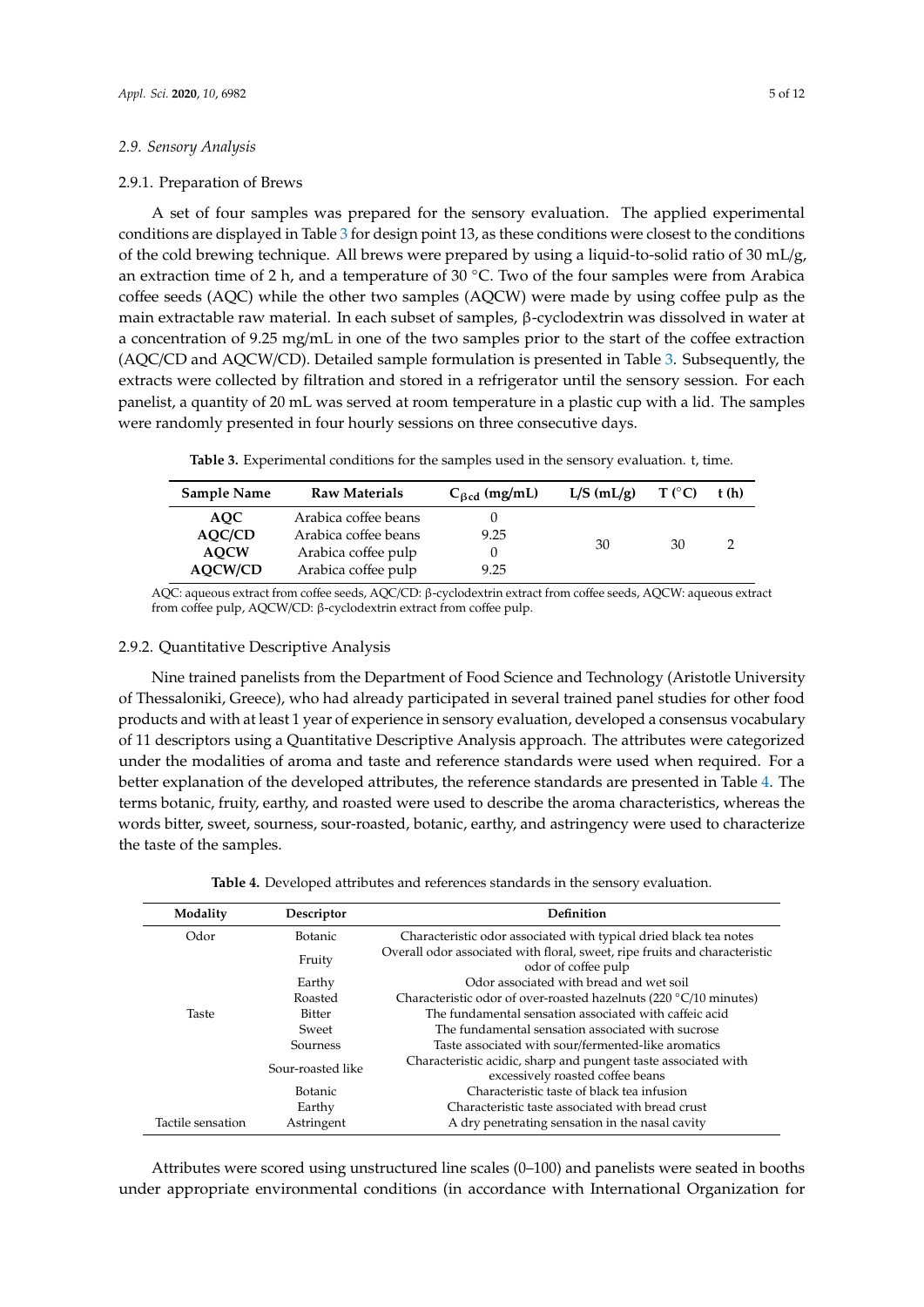### *2.9. Sensory Analysis*

## 2.9.1. Preparation of Brews

A set of four samples was prepared for the sensory evaluation. The applied experimental conditions are displayed in Table [3](#page-4-0) for design point 13, as these conditions were closest to the conditions of the cold brewing technique. All brews were prepared by using a liquid-to-solid ratio of 30 mL/g, an extraction time of 2 h, and a temperature of 30  $^{\circ}$ C. Two of the four samples were from Arabica coffee seeds (AQC) while the other two samples (AQCW) were made by using coffee pulp as the main extractable raw material. In each subset of samples, β-cyclodextrin was dissolved in water at a concentration of 9.25 mg/mL in one of the two samples prior to the start of the coffee extraction (AQC/CD and AQCW/CD). Detailed sample formulation is presented in Table [3.](#page-4-0) Subsequently, the extracts were collected by filtration and stored in a refrigerator until the sensory session. For each panelist, a quantity of 20 mL was served at room temperature in a plastic cup with a lid. The samples were randomly presented in four hourly sessions on three consecutive days.

**Table 3.** Experimental conditions for the samples used in the sensory evaluation. t, time.

<span id="page-4-0"></span>

| Sample Name | <b>Raw Materials</b> | $C_{\beta cd}$ (mg/mL) | $L/S$ (mL/g) | T (°C) | t(h) |
|-------------|----------------------|------------------------|--------------|--------|------|
| <b>AOC</b>  | Arabica coffee beans |                        |              |        |      |
| AQC/CD      | Arabica coffee beans | 9.25                   |              |        |      |
| <b>AOCW</b> | Arabica coffee pulp  |                        | 30           | 30     |      |
| AQCW/CD     | Arabica coffee pulp  | 9.25                   |              |        |      |

AQC: aqueous extract from coffee seeds, AQC/CD: β-cyclodextrin extract from coffee seeds, AQCW: aqueous extract from coffee pulp, AQCW/CD: β-cyclodextrin extract from coffee pulp.

#### 2.9.2. Quantitative Descriptive Analysis

Nine trained panelists from the Department of Food Science and Technology (Aristotle University of Thessaloniki, Greece), who had already participated in several trained panel studies for other food products and with at least 1 year of experience in sensory evaluation, developed a consensus vocabulary of 11 descriptors using a Quantitative Descriptive Analysis approach. The attributes were categorized under the modalities of aroma and taste and reference standards were used when required. For a better explanation of the developed attributes, the reference standards are presented in Table [4.](#page-4-1) The terms botanic, fruity, earthy, and roasted were used to describe the aroma characteristics, whereas the words bitter, sweet, sourness, sour-roasted, botanic, earthy, and astringency were used to characterize the taste of the samples.

| <b>Table 4.</b> Developed attributes and references standards in the sensory evaluation. |
|------------------------------------------------------------------------------------------|
|------------------------------------------------------------------------------------------|

<span id="page-4-1"></span>

| Modality          | Descriptor        | Definition                                                                                         |
|-------------------|-------------------|----------------------------------------------------------------------------------------------------|
| Odor              | <b>Botanic</b>    | Characteristic odor associated with typical dried black tea notes                                  |
|                   | Fruity            | Overall odor associated with floral, sweet, ripe fruits and characteristic<br>odor of coffee pulp  |
|                   | Earthy            | Odor associated with bread and wet soil                                                            |
|                   | Roasted           | Characteristic odor of over-roasted hazelnuts (220 $\degree$ C/10 minutes)                         |
| Taste             | <b>Bitter</b>     | The fundamental sensation associated with caffeic acid                                             |
|                   | Sweet             | The fundamental sensation associated with sucrose                                                  |
|                   | Sourness          | Taste associated with sour/fermented-like aromatics                                                |
|                   | Sour-roasted like | Characteristic acidic, sharp and pungent taste associated with<br>excessively roasted coffee beans |
|                   | Botanic           | Characteristic taste of black tea infusion                                                         |
|                   | Earthy            | Characteristic taste associated with bread crust                                                   |
| Tactile sensation | Astringent        | A dry penetrating sensation in the nasal cavity                                                    |

Attributes were scored using unstructured line scales (0–100) and panelists were seated in booths under appropriate environmental conditions (in accordance with International Organization for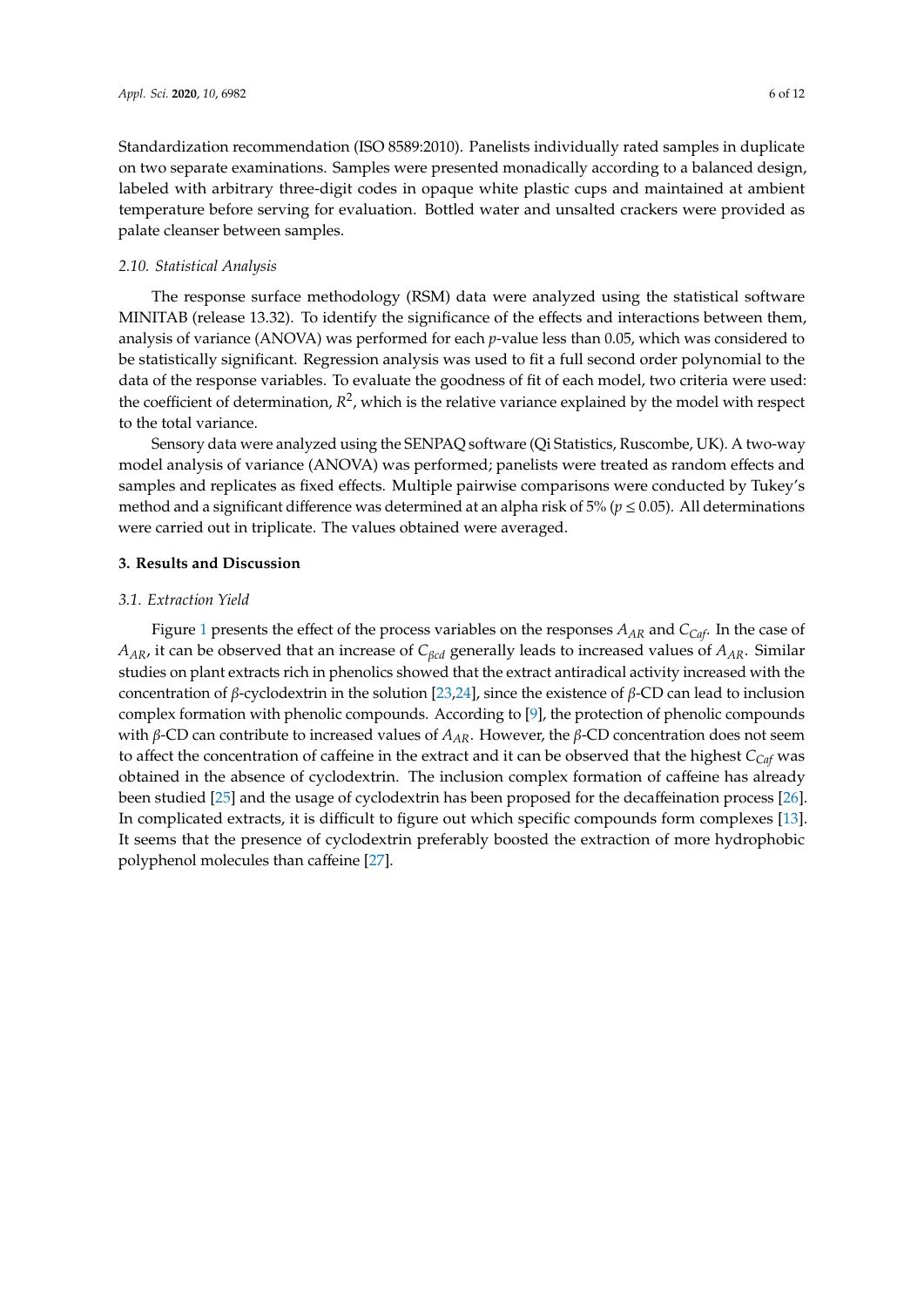Standardization recommendation (ISO 8589:2010). Panelists individually rated samples in duplicate on two separate examinations. Samples were presented monadically according to a balanced design, labeled with arbitrary three-digit codes in opaque white plastic cups and maintained at ambient temperature before serving for evaluation. Bottled water and unsalted crackers were provided as palate cleanser between samples.

## *2.10. Statistical Analysis*

The response surface methodology (RSM) data were analyzed using the statistical software MINITAB (release 13.32). To identify the significance of the effects and interactions between them, analysis of variance (ANOVA) was performed for each *p*-value less than 0.05, which was considered to be statistically significant. Regression analysis was used to fit a full second order polynomial to the data of the response variables. To evaluate the goodness of fit of each model, two criteria were used: the coefficient of determination,  $R^2$ , which is the relative variance explained by the model with respect to the total variance.

Sensory data were analyzed using the SENPAQ software (Qi Statistics, Ruscombe, UK). A two-way model analysis of variance (ANOVA) was performed; panelists were treated as random effects and samples and replicates as fixed effects. Multiple pairwise comparisons were conducted by Tukey's method and a significant difference was determined at an alpha risk of  $5\%$  ( $p \le 0.05$ ). All determinations were carried out in triplicate. The values obtained were averaged.

## **3. Results and Discussion**

# *3.1. Extraction Yield*

Figure [1](#page-6-0) presents the effect of the process variables on the responses *AAR* and *CCaf*. In the case of *A*<sub>*AR*</sub>, it can be observed that an increase of *C*<sub>β*cd*</sub> generally leads to increased values of *A*<sub>*AR*</sub>. Similar studies on plant extracts rich in phenolics showed that the extract antiradical activity increased with the concentration of β-cyclodextrin in the solution [\[23,](#page-11-2)[24\]](#page-11-3), since the existence of β-CD can lead to inclusion complex formation with phenolic compounds. According to [\[9\]](#page-10-8), the protection of phenolic compounds with β-CD can contribute to increased values of *AAR*. However, the β-CD concentration does not seem to affect the concentration of caffeine in the extract and it can be observed that the highest  $C_{Caf}$  was obtained in the absence of cyclodextrin. The inclusion complex formation of caffeine has already been studied [\[25\]](#page-11-4) and the usage of cyclodextrin has been proposed for the decaffeination process [\[26\]](#page-11-5). In complicated extracts, it is difficult to figure out which specific compounds form complexes [\[13\]](#page-10-18). It seems that the presence of cyclodextrin preferably boosted the extraction of more hydrophobic polyphenol molecules than caffeine [\[27\]](#page-11-6).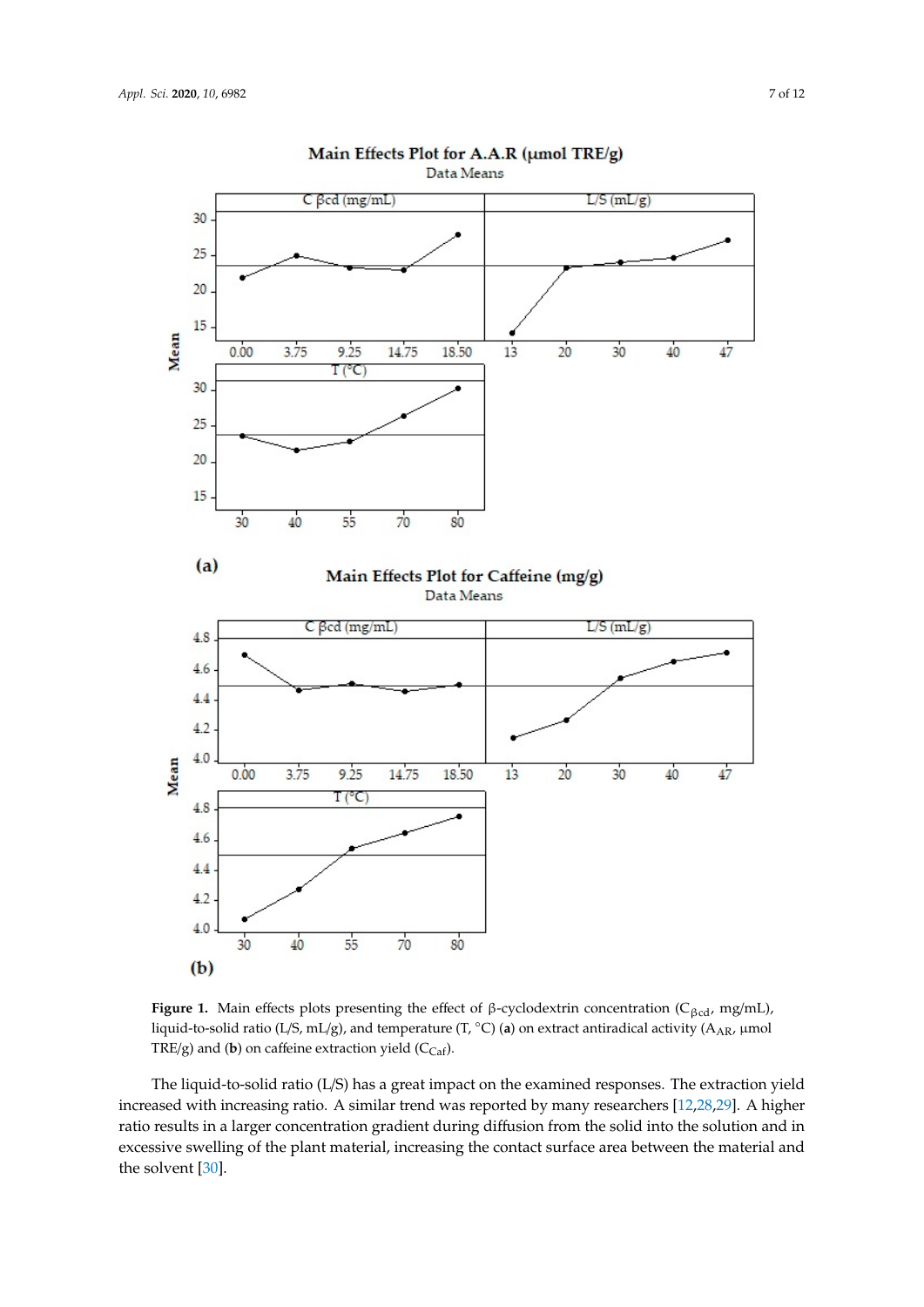<span id="page-6-0"></span>

liquid-to-solid ratio (L/S, mL/g), and temperature (T,  $^{\circ}$ C) (a) on extract antiradical activity (A<sub>AR</sub>, µmol TRE/g) and  $(\bf{b})$  on caffeine extraction yield (C<sub>Caf</sub>).

The liquid-to-solid ratio (L/S) has a great impact on the examined responses. The extraction yield The liquid-to-solid ratio (L/S) has a great impact on the examined responses. The extraction yield increased with increasing ratio. A similar trend was reported by many researchers [\[12,](#page-10-11)[28,](#page-11-7)[29\]](#page-11-8). A higher ratio results in a larger concentration gradient during diffusion from the solid into the solution and in excessive swelling of the plant material, increasing the contact surface area between the material and the solvent  $[30]$ .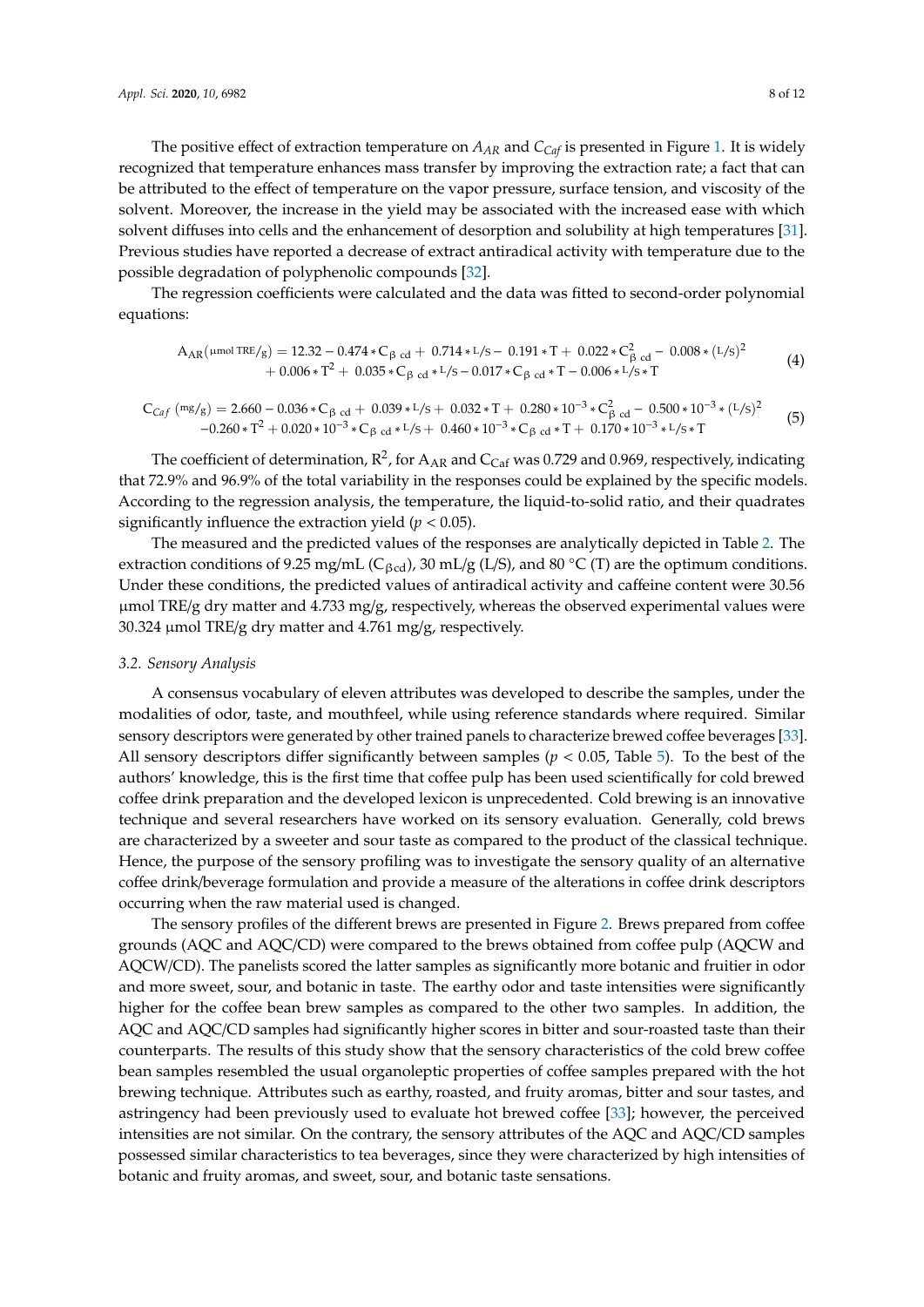The positive effect of extraction temperature on *AAR* and *CCaf* is presented in Figure [1.](#page-6-0) It is widely recognized that temperature enhances mass transfer by improving the extraction rate; a fact that can be attributed to the effect of temperature on the vapor pressure, surface tension, and viscosity of the solvent. Moreover, the increase in the yield may be associated with the increased ease with which solvent diffuses into cells and the enhancement of desorption and solubility at high temperatures [\[31\]](#page-11-10). Previous studies have reported a decrease of extract antiradical activity with temperature due to the possible degradation of polyphenolic compounds [\[32\]](#page-11-11).

The regression coefficients were calculated and the data was fitted to second-order polynomial equations:

$$
A_{AR}(\mu \text{mol} \text{TRE}/g) = 12.32 - 0.474 \times C_{\beta \text{ cd}} + 0.714 \times L/s - 0.191 \times T + 0.022 \times C_{\beta \text{ cd}}^2 - 0.008 \times (L/s)^2 + 0.006 \times T^2 + 0.035 \times C_{\beta \text{ cd}} \times L/s - 0.017 \times C_{\beta \text{ cd}} \times T - 0.006 \times L/s \times T
$$
 (4)

$$
C_{Caf} (mg/g) = 2.660 - 0.036 \times C_{\beta \text{ cd}} + 0.039 \times 1/5 + 0.032 \times T + 0.280 \times 10^{-3} \times C_{\beta \text{ cd}}^2 - 0.500 \times 10^{-3} \times (L/s)^2 -0.260 \times T^2 + 0.020 \times 10^{-3} \times C_{\beta \text{ cd}} \times L/s + 0.460 \times 10^{-3} \times C_{\beta \text{ cd}} \times T + 0.170 \times 10^{-3} \times L/s \times T
$$
 (5)

The coefficient of determination,  $R^2$ , for  $A_{AR}$  and  $C_{Caf}$  was 0.729 and 0.969, respectively, indicating that 72.9% and 96.9% of the total variability in the responses could be explained by the specific models. According to the regression analysis, the temperature, the liquid-to-solid ratio, and their quadrates significantly influence the extraction yield  $(p < 0.05)$ .

The measured and the predicted values of the responses are analytically depicted in Table [2.](#page-2-1) The extraction conditions of 9.25 mg/mL ( $C_{\beta cd}$ ), 30 mL/g (L/S), and 80 °C (T) are the optimum conditions. Under these conditions, the predicted values of antiradical activity and caffeine content were 30.56 µmol TRE/g dry matter and 4.733 mg/g, respectively, whereas the observed experimental values were 30.324 µmol TRE/g dry matter and 4.761 mg/g, respectively.

#### *3.2. Sensory Analysis*

A consensus vocabulary of eleven attributes was developed to describe the samples, under the modalities of odor, taste, and mouthfeel, while using reference standards where required. Similar sensory descriptors were generated by other trained panels to characterize brewed coffee beverages [\[33\]](#page-11-12). All sensory descriptors differ significantly between samples ( $p < 0.05$ , Table [5\)](#page-8-0). To the best of the authors' knowledge, this is the first time that coffee pulp has been used scientifically for cold brewed coffee drink preparation and the developed lexicon is unprecedented. Cold brewing is an innovative technique and several researchers have worked on its sensory evaluation. Generally, cold brews are characterized by a sweeter and sour taste as compared to the product of the classical technique. Hence, the purpose of the sensory profiling was to investigate the sensory quality of an alternative coffee drink/beverage formulation and provide a measure of the alterations in coffee drink descriptors occurring when the raw material used is changed.

The sensory profiles of the different brews are presented in Figure [2.](#page-8-1) Brews prepared from coffee grounds (AQC and AQC/CD) were compared to the brews obtained from coffee pulp (AQCW and AQCW/CD). The panelists scored the latter samples as significantly more botanic and fruitier in odor and more sweet, sour, and botanic in taste. The earthy odor and taste intensities were significantly higher for the coffee bean brew samples as compared to the other two samples. In addition, the AQC and AQC/CD samples had significantly higher scores in bitter and sour-roasted taste than their counterparts. The results of this study show that the sensory characteristics of the cold brew coffee bean samples resembled the usual organoleptic properties of coffee samples prepared with the hot brewing technique. Attributes such as earthy, roasted, and fruity aromas, bitter and sour tastes, and astringency had been previously used to evaluate hot brewed coffee [\[33\]](#page-11-12); however, the perceived intensities are not similar. On the contrary, the sensory attributes of the AQC and AQC/CD samples possessed similar characteristics to tea beverages, since they were characterized by high intensities of botanic and fruity aromas, and sweet, sour, and botanic taste sensations.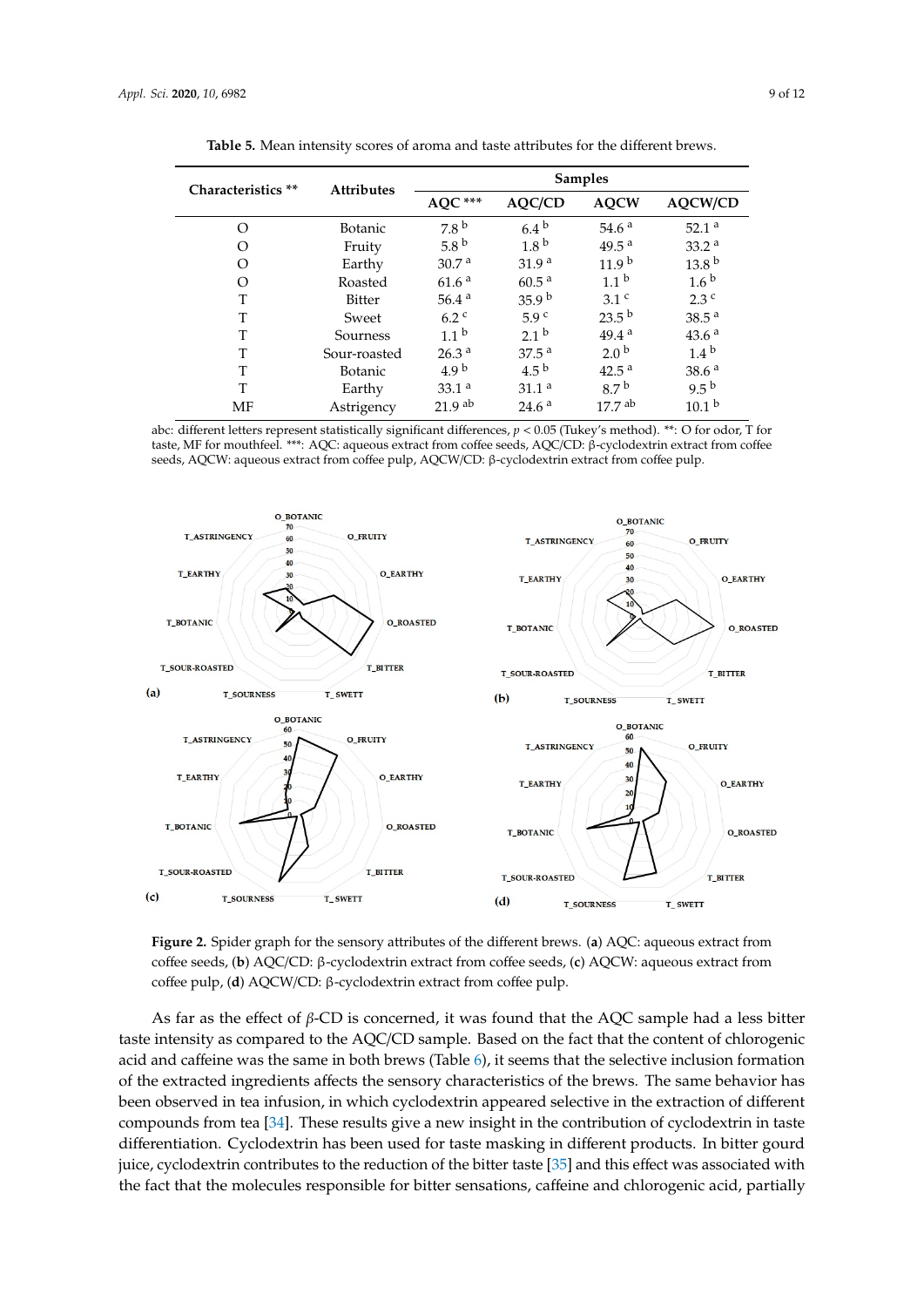<span id="page-8-0"></span>

| Characteristics <sup>**</sup> | <b>Attributes</b> | <b>Samples</b>     |                   |                    |                   |  |
|-------------------------------|-------------------|--------------------|-------------------|--------------------|-------------------|--|
|                               |                   | AQC***             | AQC/CD            | <b>AQCW</b>        | <b>AQCW/CD</b>    |  |
| Ω                             | <b>Botanic</b>    | 7.8 <sup>b</sup>   | 6.4 <sup>b</sup>  | 54.6 <sup>a</sup>  | 52.1 <sup>a</sup> |  |
| Ω                             | Fruity            | 5.8 $^{\rm b}$     | 1.8 <sup>b</sup>  | 49.5 $a$           | 33.2 <sup>a</sup> |  |
| Ω                             | Earthy            | 30.7 <sup>a</sup>  | 31.9 <sup>a</sup> | 11.9 <sup>b</sup>  | 13.8 <sup>b</sup> |  |
| Ω                             | Roasted           | 61.6 <sup>a</sup>  | 60.5 <sup>a</sup> | 1.1 <sup>b</sup>   | 1.6 <sup>b</sup>  |  |
| T                             | <b>Bitter</b>     | 56.4 <sup>a</sup>  | 35.9 <sup>b</sup> | 3.1 <sup>c</sup>   | 2.3 <sup>c</sup>  |  |
| T                             | Sweet             | $6.2$ <sup>c</sup> | 5.9 <sup>c</sup>  | $23.5^{b}$         | 38.5 <sup>a</sup> |  |
| T                             | Sourness          | 1.1 <sup>b</sup>   | 2.1 <sup>b</sup>  | 49.4 <sup>a</sup>  | 43.6 <sup>a</sup> |  |
| T                             | Sour-roasted      | 26.3 <sup>a</sup>  | 37.5 <sup>a</sup> | 2.0 <sup>b</sup>   | 1.4 <sup>b</sup>  |  |
| T                             | <b>Botanic</b>    | 4.9 <sup>b</sup>   | $4.5^{b}$         | $42.5^{\text{a}}$  | 38.6 <sup>a</sup> |  |
| T                             | Earthy            | 33.1 <sup>a</sup>  | 31.1 <sup>a</sup> | 8.7 <sup>b</sup>   | 9.5 <sup>b</sup>  |  |
| MF                            | Astrigency        | 21.9 <sup>ab</sup> | 24.6 <sup>a</sup> | 17.7 <sup>ab</sup> | $10.1^{b}$        |  |

abc: different letters represent statistically significant differences,  $p < 0.05$  (Tukey's method). \*\*: O for odor, T for taste, MF for mouthfeel. \*\*\*: AQC: aqueous extract from coffee seeds, AQC/CD: β-cyclodextrin extract from coffee seeds, AQCW: aqueous extract from coffee pulp, AQCW/CD: β-cyclodextrin extract from coffee pulp.

<span id="page-8-1"></span>

coffee pulp, (**d**) AQCW/CD: β-cyclodextrin extract from coffee pulp. **Figure 2.** Spider graph for the sensory attributes of the different brews. (**a**) AQC: aqueous extract from coffee seeds, (**b**) AQC/CD: β-cyclodextrin extract from coffee seeds, (**c**) AQCW: aqueous extract from

As far as the effect of β-CD is concerned, it was found that the AQC sample had a less bitter acid and caffeine was the same in both brews (Table [6\)](#page-9-0), it seems that the selective inclusion formation intersity as compared to the AQC/CD sample. Based on the fact that the fact that the fact that the fact that the fact that the fact that the fact that the fact that the fact that the fact that the fact that the fact that of the extracted ingredients affects the sensory characteristics of the brews. The same behavior has been observed in tea infusion, in which cyclodextrin appeared selective in the extraction of different compounds from tea [\[34\]](#page-11-13). These results give a new insight in the contribution of cyclodextrin in taste differentiation. Cyclodextrin has been used for taste masking in different products. In bitter gourd juice, cyclodextrin contributes to the reduction of the bitter taste [\[35\]](#page-11-14) and this effect was associated with taste intensity as compared to the AQC/CD sample. Based on the fact that the content of chlorogenic the fact that the molecules responsible for bitter sensations, caffeine and chlorogenic acid, partially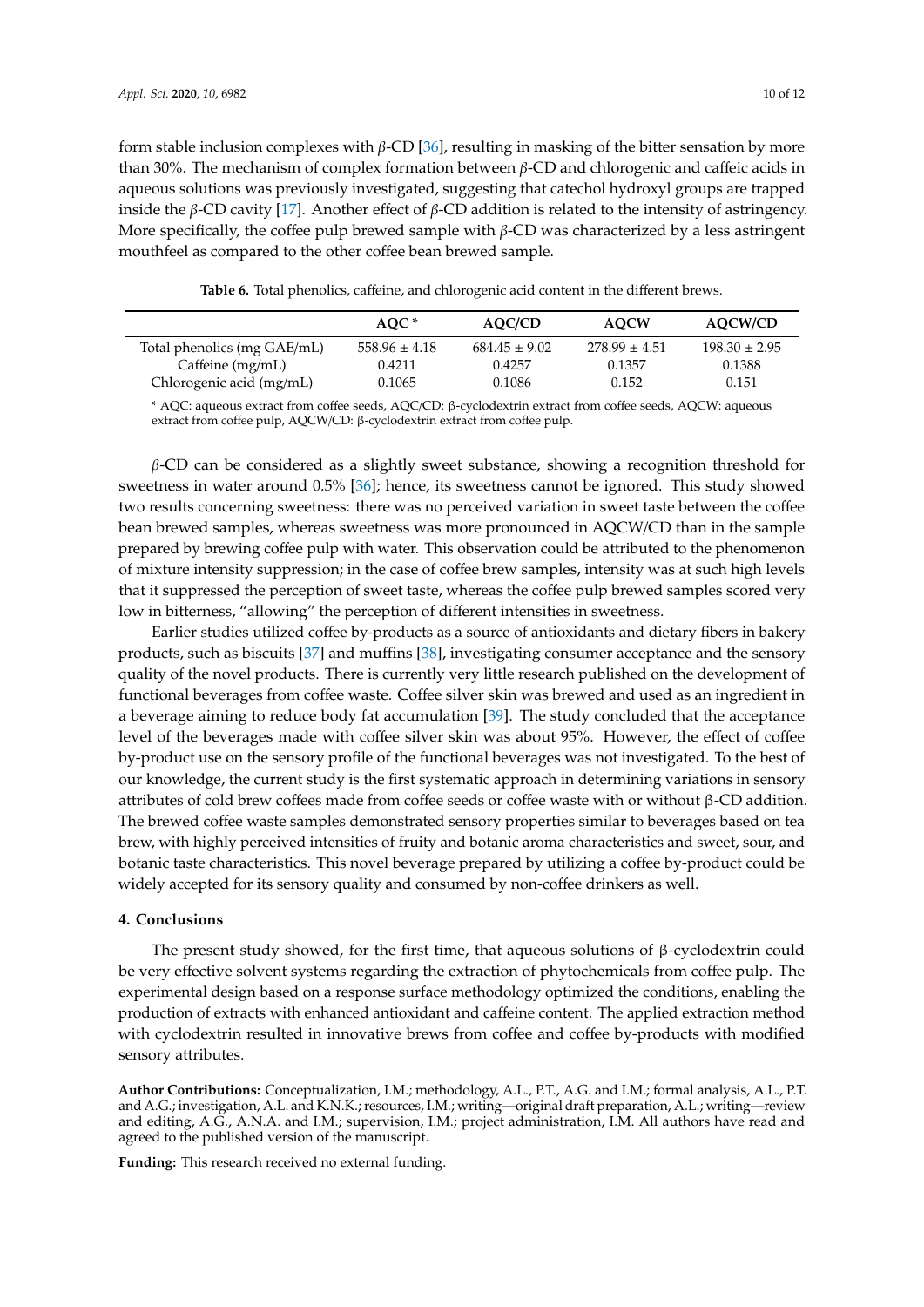form stable inclusion complexes with β-CD [\[36\]](#page-11-15), resulting in masking of the bitter sensation by more than 30%. The mechanism of complex formation between  $β$ -CD and chlorogenic and caffeic acids in aqueous solutions was previously investigated, suggesting that catechol hydroxyl groups are trapped inside the β-CD cavity [\[17\]](#page-10-19). Another effect of β-CD addition is related to the intensity of astringency. More specifically, the coffee pulp brewed sample with  $\beta$ -CD was characterized by a less astringent mouthfeel as compared to the other coffee bean brewed sample.

<span id="page-9-0"></span>

|                             | $AOC^*$           | AOC/CD            | <b>AOCW</b>       | AOCW/CD           |
|-----------------------------|-------------------|-------------------|-------------------|-------------------|
| Total phenolics (mg GAE/mL) | $558.96 \pm 4.18$ | $684.45 \pm 9.02$ | $278.99 \pm 4.51$ | $198.30 \pm 2.95$ |
| $C$ affeine (mg/mL)         | 0.4211            | 0.4257            | 0.1357            | 0.1388            |
| Chlorogenic acid (mg/mL)    | 0.1065            | 0.1086            | 0.152             | 0.151             |

**Table 6.** Total phenolics, caffeine, and chlorogenic acid content in the different brews.

\* AQC: aqueous extract from coffee seeds, AQC/CD: β-cyclodextrin extract from coffee seeds, AQCW: aqueous extract from coffee pulp, AQCW/CD: β-cyclodextrin extract from coffee pulp.

 $β$ -CD can be considered as a slightly sweet substance, showing a recognition threshold for sweetness in water around 0.5% [\[36\]](#page-11-15); hence, its sweetness cannot be ignored. This study showed two results concerning sweetness: there was no perceived variation in sweet taste between the coffee bean brewed samples, whereas sweetness was more pronounced in AQCW/CD than in the sample prepared by brewing coffee pulp with water. This observation could be attributed to the phenomenon of mixture intensity suppression; in the case of coffee brew samples, intensity was at such high levels that it suppressed the perception of sweet taste, whereas the coffee pulp brewed samples scored very low in bitterness, "allowing" the perception of different intensities in sweetness.

Earlier studies utilized coffee by-products as a source of antioxidants and dietary fibers in bakery products, such as biscuits [\[37\]](#page-11-16) and muffins [\[38\]](#page-11-17), investigating consumer acceptance and the sensory quality of the novel products. There is currently very little research published on the development of functional beverages from coffee waste. Coffee silver skin was brewed and used as an ingredient in a beverage aiming to reduce body fat accumulation [\[39\]](#page-11-18). The study concluded that the acceptance level of the beverages made with coffee silver skin was about 95%. However, the effect of coffee by-product use on the sensory profile of the functional beverages was not investigated. To the best of our knowledge, the current study is the first systematic approach in determining variations in sensory attributes of cold brew coffees made from coffee seeds or coffee waste with or without β-CD addition. The brewed coffee waste samples demonstrated sensory properties similar to beverages based on tea brew, with highly perceived intensities of fruity and botanic aroma characteristics and sweet, sour, and botanic taste characteristics. This novel beverage prepared by utilizing a coffee by-product could be widely accepted for its sensory quality and consumed by non-coffee drinkers as well.

## **4. Conclusions**

The present study showed, for the first time, that aqueous solutions of β-cyclodextrin could be very effective solvent systems regarding the extraction of phytochemicals from coffee pulp. The experimental design based on a response surface methodology optimized the conditions, enabling the production of extracts with enhanced antioxidant and caffeine content. The applied extraction method with cyclodextrin resulted in innovative brews from coffee and coffee by-products with modified sensory attributes.

**Author Contributions:** Conceptualization, I.M.; methodology, A.L., P.T., A.G. and I.M.; formal analysis, A.L., P.T. and A.G.; investigation, A.L. and K.N.K.; resources, I.M.; writing—original draft preparation, A.L.; writing—review and editing, A.G., A.N.A. and I.M.; supervision, I.M.; project administration, I.M. All authors have read and agreed to the published version of the manuscript.

**Funding:** This research received no external funding.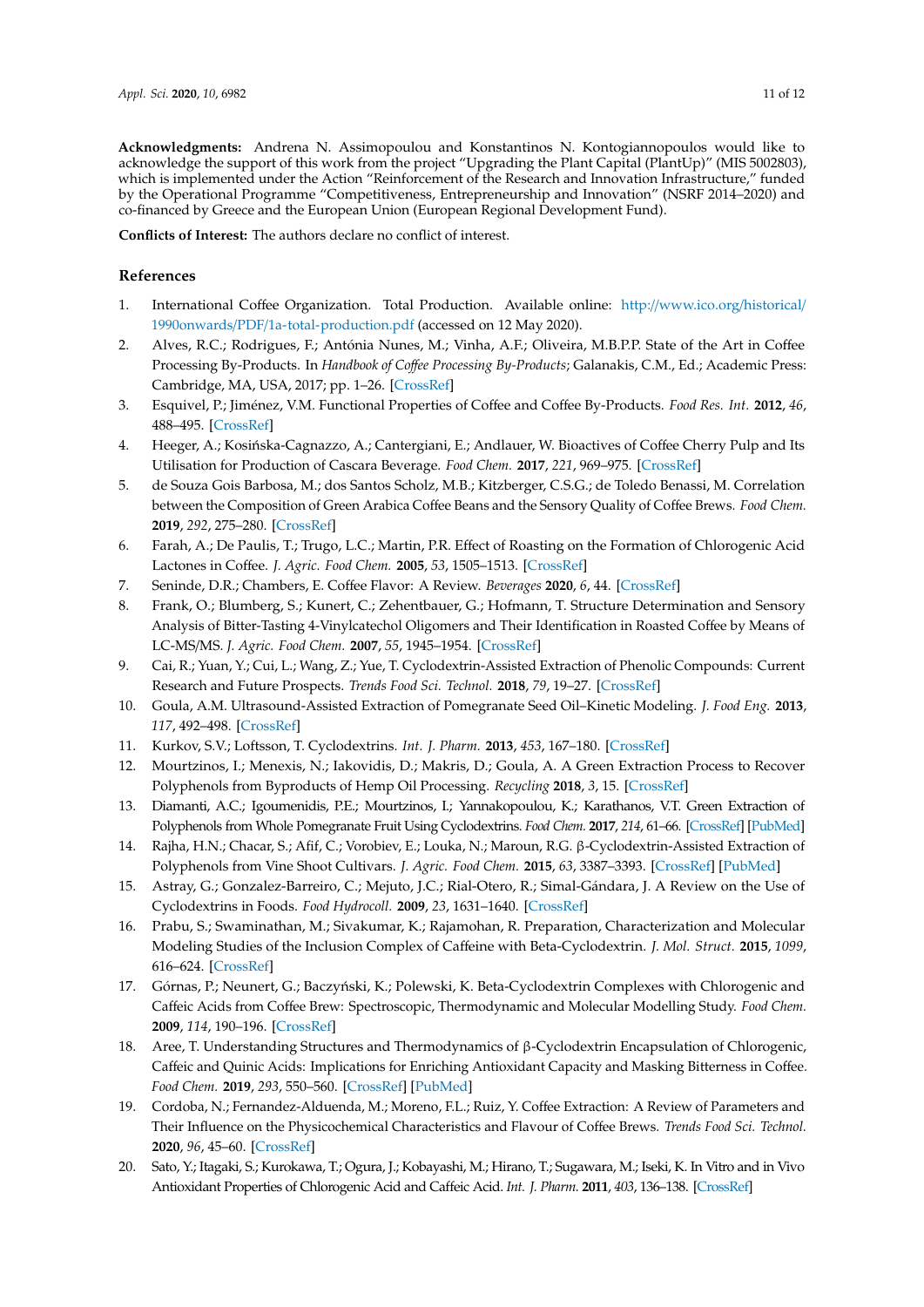**Acknowledgments:** Andrena N. Assimopoulou and Konstantinos N. Kontogiannopoulos would like to acknowledge the support of this work from the project "Upgrading the Plant Capital (PlantUp)" (MIS 5002803), which is implemented under the Action "Reinforcement of the Research and Innovation Infrastructure," funded by the Operational Programme "Competitiveness, Entrepreneurship and Innovation" (NSRF 2014–2020) and co-financed by Greece and the European Union (European Regional Development Fund).

**Conflicts of Interest:** The authors declare no conflict of interest.

### **References**

- <span id="page-10-0"></span>1. International Coffee Organization. Total Production. Available online: http://[www.ico.org](http://www.ico.org/historical/1990onwards/PDF/1a-total-production.pdf)/historical/ 1990onwards/PDF/[1a-total-production.pdf](http://www.ico.org/historical/1990onwards/PDF/1a-total-production.pdf) (accessed on 12 May 2020).
- <span id="page-10-1"></span>2. Alves, R.C.; Rodrigues, F.; Antónia Nunes, M.; Vinha, A.F.; Oliveira, M.B.P.P. State of the Art in Coffee Processing By-Products. In *Handbook of Co*ff*ee Processing By-Products*; Galanakis, C.M., Ed.; Academic Press: Cambridge, MA, USA, 2017; pp. 1–26. [\[CrossRef\]](http://dx.doi.org/10.1016/B978-0-12-811290-8.00001-3)
- <span id="page-10-2"></span>3. Esquivel, P.; Jiménez, V.M. Functional Properties of Coffee and Coffee By-Products. *Food Res. Int.* **2012**, *46*, 488–495. [\[CrossRef\]](http://dx.doi.org/10.1016/j.foodres.2011.05.028)
- <span id="page-10-3"></span>4. Heeger, A.; Kosińska-Cagnazzo, A.; Cantergiani, E.; Andlauer, W. Bioactives of Coffee Cherry Pulp and Its Utilisation for Production of Cascara Beverage. *Food Chem.* **2017**, *221*, 969–975. [\[CrossRef\]](http://dx.doi.org/10.1016/j.foodchem.2016.11.067)
- <span id="page-10-4"></span>5. de Souza Gois Barbosa, M.; dos Santos Scholz, M.B.; Kitzberger, C.S.G.; de Toledo Benassi, M. Correlation between the Composition of Green Arabica Coffee Beans and the Sensory Quality of Coffee Brews. *Food Chem.* **2019**, *292*, 275–280. [\[CrossRef\]](http://dx.doi.org/10.1016/j.foodchem.2019.04.072)
- <span id="page-10-5"></span>6. Farah, A.; De Paulis, T.; Trugo, L.C.; Martin, P.R. Effect of Roasting on the Formation of Chlorogenic Acid Lactones in Coffee. *J. Agric. Food Chem.* **2005**, *53*, 1505–1513. [\[CrossRef\]](http://dx.doi.org/10.1021/jf048701t)
- <span id="page-10-6"></span>7. Seninde, D.R.; Chambers, E. Coffee Flavor: A Review. *Beverages* **2020**, *6*, 44. [\[CrossRef\]](http://dx.doi.org/10.3390/beverages6030044)
- <span id="page-10-7"></span>8. Frank, O.; Blumberg, S.; Kunert, C.; Zehentbauer, G.; Hofmann, T. Structure Determination and Sensory Analysis of Bitter-Tasting 4-Vinylcatechol Oligomers and Their Identification in Roasted Coffee by Means of LC-MS/MS. *J. Agric. Food Chem.* **2007**, *55*, 1945–1954. [\[CrossRef\]](http://dx.doi.org/10.1021/jf0632280)
- <span id="page-10-8"></span>9. Cai, R.; Yuan, Y.; Cui, L.; Wang, Z.; Yue, T. Cyclodextrin-Assisted Extraction of Phenolic Compounds: Current Research and Future Prospects. *Trends Food Sci. Technol.* **2018**, *79*, 19–27. [\[CrossRef\]](http://dx.doi.org/10.1016/j.tifs.2018.06.015)
- <span id="page-10-9"></span>10. Goula, A.M. Ultrasound-Assisted Extraction of Pomegranate Seed Oil–Kinetic Modeling. *J. Food Eng.* **2013**, *117*, 492–498. [\[CrossRef\]](http://dx.doi.org/10.1016/j.jfoodeng.2012.10.009)
- <span id="page-10-10"></span>11. Kurkov, S.V.; Loftsson, T. Cyclodextrins. *Int. J. Pharm.* **2013**, *453*, 167–180. [\[CrossRef\]](http://dx.doi.org/10.1016/j.ijpharm.2012.06.055)
- <span id="page-10-11"></span>12. Mourtzinos, I.; Menexis, N.; Iakovidis, D.; Makris, D.; Goula, A. A Green Extraction Process to Recover Polyphenols from Byproducts of Hemp Oil Processing. *Recycling* **2018**, *3*, 15. [\[CrossRef\]](http://dx.doi.org/10.3390/recycling3020015)
- <span id="page-10-18"></span>13. Diamanti, A.C.; Igoumenidis, P.E.; Mourtzinos, I.; Yannakopoulou, K.; Karathanos, V.T. Green Extraction of Polyphenols from Whole Pomegranate Fruit Using Cyclodextrins. *Food Chem.* **2017**, *214*, 61–66. [\[CrossRef\]](http://dx.doi.org/10.1016/j.foodchem.2016.07.072) [\[PubMed\]](http://www.ncbi.nlm.nih.gov/pubmed/27507448)
- <span id="page-10-12"></span>14. Rajha, H.N.; Chacar, S.; Afif, C.; Vorobiev, E.; Louka, N.; Maroun, R.G. β-Cyclodextrin-Assisted Extraction of Polyphenols from Vine Shoot Cultivars. *J. Agric. Food Chem.* **2015**, *63*, 3387–3393. [\[CrossRef\]](http://dx.doi.org/10.1021/acs.jafc.5b00672) [\[PubMed\]](http://www.ncbi.nlm.nih.gov/pubmed/25786852)
- <span id="page-10-13"></span>15. Astray, G.; Gonzalez-Barreiro, C.; Mejuto, J.C.; Rial-Otero, R.; Simal-Gándara, J. A Review on the Use of Cyclodextrins in Foods. *Food Hydrocoll.* **2009**, *23*, 1631–1640. [\[CrossRef\]](http://dx.doi.org/10.1016/j.foodhyd.2009.01.001)
- <span id="page-10-14"></span>16. Prabu, S.; Swaminathan, M.; Sivakumar, K.; Rajamohan, R. Preparation, Characterization and Molecular Modeling Studies of the Inclusion Complex of Caffeine with Beta-Cyclodextrin. *J. Mol. Struct.* **2015**, *1099*, 616–624. [\[CrossRef\]](http://dx.doi.org/10.1016/j.molstruc.2015.07.018)
- <span id="page-10-19"></span>17. Górnas, P.; Neunert, G.; Baczyński, K.; Polewski, K. Beta-Cyclodextrin Complexes with Chlorogenic and Caffeic Acids from Coffee Brew: Spectroscopic, Thermodynamic and Molecular Modelling Study. *Food Chem.* **2009**, *114*, 190–196. [\[CrossRef\]](http://dx.doi.org/10.1016/j.foodchem.2008.09.048)
- <span id="page-10-15"></span>18. Aree, T. Understanding Structures and Thermodynamics of β-Cyclodextrin Encapsulation of Chlorogenic, Caffeic and Quinic Acids: Implications for Enriching Antioxidant Capacity and Masking Bitterness in Coffee. *Food Chem.* **2019**, *293*, 550–560. [\[CrossRef\]](http://dx.doi.org/10.1016/j.foodchem.2019.04.084) [\[PubMed\]](http://www.ncbi.nlm.nih.gov/pubmed/31151647)
- <span id="page-10-16"></span>19. Cordoba, N.; Fernandez-Alduenda, M.; Moreno, F.L.; Ruiz, Y. Coffee Extraction: A Review of Parameters and Their Influence on the Physicochemical Characteristics and Flavour of Coffee Brews. *Trends Food Sci. Technol.* **2020**, *96*, 45–60. [\[CrossRef\]](http://dx.doi.org/10.1016/j.tifs.2019.12.004)
- <span id="page-10-17"></span>20. Sato, Y.; Itagaki, S.; Kurokawa, T.; Ogura, J.; Kobayashi, M.; Hirano, T.; Sugawara, M.; Iseki, K. In Vitro and in Vivo Antioxidant Properties of Chlorogenic Acid and Caffeic Acid. *Int. J. Pharm.* **2011**, *403*, 136–138. [\[CrossRef\]](http://dx.doi.org/10.1016/j.ijpharm.2010.09.035)